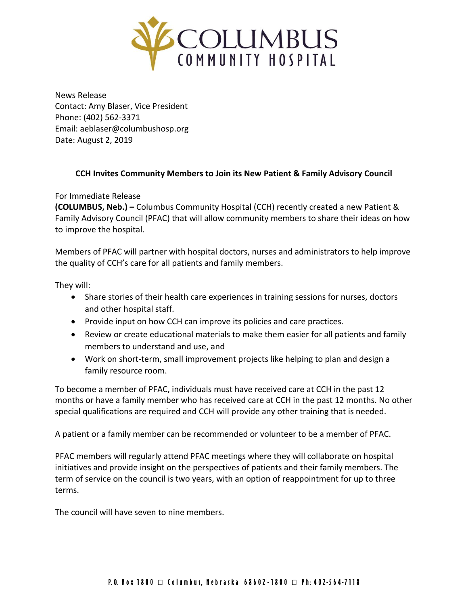

News Release Contact: Amy Blaser, Vice President Phone: (402) 562-3371 Email: [aeblaser@columbushosp.org](mailto:aeblaser@columbushosp.org) Date: August 2, 2019

## **CCH Invites Community Members to Join its New Patient & Family Advisory Council**

For Immediate Release

**(COLUMBUS, Neb.) –** Columbus Community Hospital (CCH) recently created a new Patient & Family Advisory Council (PFAC) that will allow community members to share their ideas on how to improve the hospital.

Members of PFAC will partner with hospital doctors, nurses and administrators to help improve the quality of CCH's care for all patients and family members.

They will:

- Share stories of their health care experiences in training sessions for nurses, doctors and other hospital staff.
- Provide input on how CCH can improve its policies and care practices.
- Review or create educational materials to make them easier for all patients and family members to understand and use, and
- Work on short-term, small improvement projects like helping to plan and design a family resource room.

To become a member of PFAC, individuals must have received care at CCH in the past 12 months or have a family member who has received care at CCH in the past 12 months. No other special qualifications are required and CCH will provide any other training that is needed.

A patient or a family member can be recommended or volunteer to be a member of PFAC.

PFAC members will regularly attend PFAC meetings where they will collaborate on hospital initiatives and provide insight on the perspectives of patients and their family members. The term of service on the council is two years, with an option of reappointment for up to three terms.

The council will have seven to nine members.